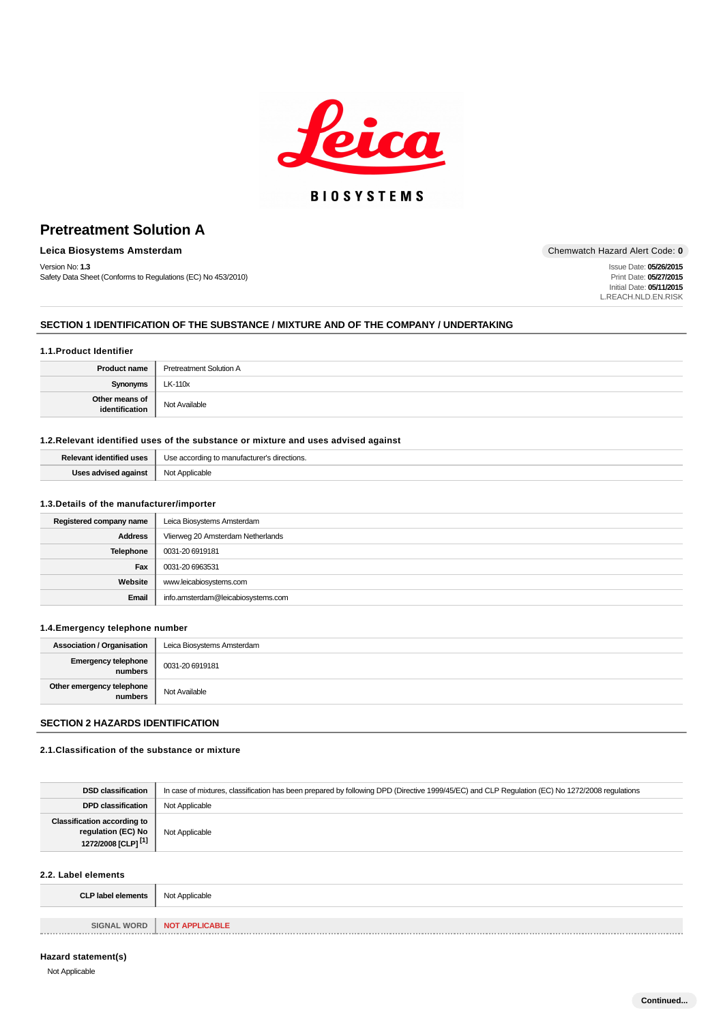

# **BIOSYSTEMS**

# **Pretreatment Solution A**

# **Leica Biosystems Amsterdam** Chemwatch Hazard Alert Code: **0**

Version No: **1.3** Safety Data Sheet (Conforms to Regulations (EC) No 453/2010)

Issue Date: **05/26/2015** Print Date: **05/27/2015** Initial Date: **05/11/2015** L.REACH.NLD.EN.RISK

## **SECTION 1 IDENTIFICATION OF THE SUBSTANCE / MIXTURE AND OF THE COMPANY / UNDERTAKING**

### **1.1.Product Identifier**

| <b>Product name</b>              | <b>Pretreatment Solution A</b> |  |
|----------------------------------|--------------------------------|--|
| <b>Synonyms</b>                  | LK-110x                        |  |
| Other means of<br>identification | Not Available                  |  |

## **1.2.Relevant identified uses of the substance or mixture and uses advised against**

| $\cdots$ | <br>directions.<br>JSE<br>mor<br>:orair |
|----------|-----------------------------------------|
|          | NM<br>able<br>$  -$                     |

### **1.3.Details of the manufacturer/importer**

| Registered company name | Leica Biosystems Amsterdam         |
|-------------------------|------------------------------------|
| <b>Address</b>          | Vlierweg 20 Amsterdam Netherlands  |
| <b>Telephone</b>        | 0031-20 6919181                    |
| Fax                     | 0031-20 6963531                    |
| Website                 | www.leicabiosystems.com            |
| Email                   | info.amsterdam@leicabiosystems.com |

#### **1.4.Emergency telephone number**

| <b>Association / Organisation</b>    | Leica Biosystems Amsterdam |
|--------------------------------------|----------------------------|
| Emergency telephone<br>numbers       | 0031-20 6919181            |
| Other emergency telephone<br>numbers | Not Available              |

# **SECTION 2 HAZARDS IDENTIFICATION**

# **2.1.Classification of the substance or mixture**

| <b>DSD classification</b>                                                                  | In case of mixtures, classification has been prepared by following DPD (Directive 1999/45/EC) and CLP Regulation (EC) No 1272/2008 regulations |  |
|--------------------------------------------------------------------------------------------|------------------------------------------------------------------------------------------------------------------------------------------------|--|
| <b>DPD classification</b>                                                                  | Not Applicable                                                                                                                                 |  |
| <b>Classification according to</b><br>regulation (EC) No<br>1272/2008 [CLP] <sup>[1]</sup> | Not Applicable                                                                                                                                 |  |
| 2.2. Label elements                                                                        |                                                                                                                                                |  |
| <b>CLP label elements</b>                                                                  | Not Applicable                                                                                                                                 |  |
|                                                                                            |                                                                                                                                                |  |
| <b>SIGNAL WORD</b>                                                                         | <b>NOT APPLICABLE</b>                                                                                                                          |  |

#### **Hazard statement(s)**

Not Applicable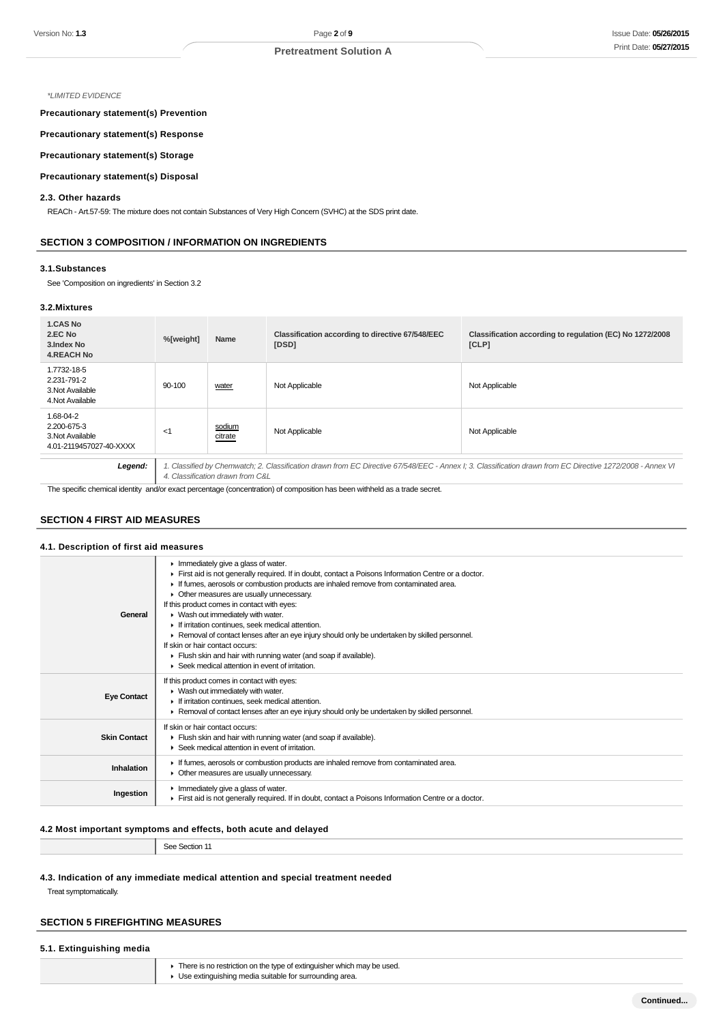#### \*LIMITED EVIDENCE

**Precautionary statement(s) Prevention**

**Precautionary statement(s) Response**

### **Precautionary statement(s) Storage**

### **Precautionary statement(s) Disposal**

#### **2.3. Other hazards**

REACh - Art.57-59: The mixture does not contain Substances of Very High Concern (SVHC) at the SDS print date.

#### **SECTION 3 COMPOSITION / INFORMATION ON INGREDIENTS**

#### **3.1.Substances**

See 'Composition on ingredients' in Section 3.2

## **3.2.Mixtures**

| <b>1.CAS No</b><br>2.EC No<br>3. Index No<br><b>4.REACH No</b>          | %[weight]                        | Name              | Classification according to directive 67/548/EEC<br>[DSD] | Classification according to regulation (EC) No 1272/2008<br>[CLP]                                                                                          |
|-------------------------------------------------------------------------|----------------------------------|-------------------|-----------------------------------------------------------|------------------------------------------------------------------------------------------------------------------------------------------------------------|
| 1.7732-18-5<br>2.231-791-2<br>3. Not Available<br>4. Not Available      | 90-100                           | water             | Not Applicable                                            | Not Applicable                                                                                                                                             |
| 1.68-04-2<br>2.200-675-3<br>3. Not Available<br>4.01-2119457027-40-XXXX | <1                               | sodium<br>citrate | Not Applicable                                            | Not Applicable                                                                                                                                             |
| Legend:                                                                 |                                  |                   |                                                           | 1. Classified by Chemwatch; 2. Classification drawn from EC Directive 67/548/EEC - Annex I; 3. Classification drawn from EC Directive 1272/2008 - Annex VI |
|                                                                         | 4. Classification drawn from C&L |                   |                                                           |                                                                                                                                                            |

The specific chemical identity and/or exact percentage (concentration) of composition has been withheld as a trade secret.

## **SECTION 4 FIRST AID MEASURES**

### **4.1. Description of first aid measures**

|                     | Immediately give a glass of water.                                                                                                |
|---------------------|-----------------------------------------------------------------------------------------------------------------------------------|
|                     | First aid is not generally required. If in doubt, contact a Poisons Information Centre or a doctor.                               |
|                     | If fumes, aerosols or combustion products are inhaled remove from contaminated area.<br>۰.                                        |
|                     | Other measures are usually unnecessary.<br>۰.                                                                                     |
|                     | If this product comes in contact with eyes:                                                                                       |
| General             | ▶ Wash out immediately with water.                                                                                                |
|                     | If irritation continues, seek medical attention.                                                                                  |
|                     | ► Removal of contact lenses after an eye injury should only be undertaken by skilled personnel.                                   |
|                     | If skin or hair contact occurs:                                                                                                   |
|                     | Flush skin and hair with running water (and soap if available).                                                                   |
|                     | ▶ Seek medical attention in event of irritation.                                                                                  |
|                     | If this product comes in contact with eyes:                                                                                       |
|                     | ▶ Wash out immediately with water.                                                                                                |
| <b>Eye Contact</b>  | If irritation continues, seek medical attention.                                                                                  |
|                     | ► Removal of contact lenses after an eye injury should only be undertaken by skilled personnel.                                   |
|                     | If skin or hair contact occurs:                                                                                                   |
| <b>Skin Contact</b> | Flush skin and hair with running water (and soap if available).                                                                   |
|                     | ▶ Seek medical attention in event of irritation.                                                                                  |
|                     |                                                                                                                                   |
| Inhalation          | If fumes, aerosols or combustion products are inhaled remove from contaminated area.<br>• Other measures are usually unnecessary. |
|                     |                                                                                                                                   |
| Ingestion           | Immediately give a glass of water.                                                                                                |
|                     | First aid is not generally required. If in doubt, contact a Poisons Information Centre or a doctor.                               |
|                     |                                                                                                                                   |

# **4.2 Most important symptoms and effects, both acute and delayed**

See Section 11

# **4.3. Indication of any immediate medical attention and special treatment needed**

Treat symptomatically.

# **SECTION 5 FIREFIGHTING MEASURES**

# **5.1. Extinguishing media**

**F** There is no restriction on the type of extinguisher which may be used. Use extinguishing media suitable for surrounding area.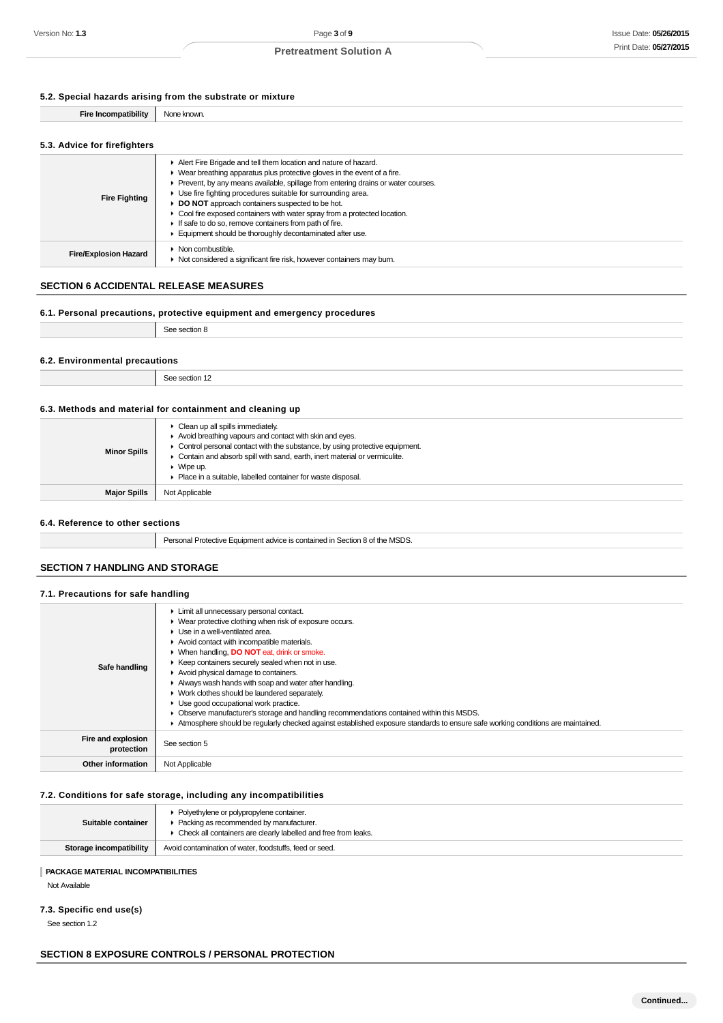# **5.2. Special hazards arising from the substrate or mixture**

| Fin | .<br>: KI K XVI |
|-----|-----------------|
|     |                 |

### **5.3. Advice for firefighters**

| Alert Fire Brigade and tell them location and nature of hazard.<br>• Wear breathing apparatus plus protective gloves in the event of a fire.<br>Prevent, by any means available, spillage from entering drains or water courses.<br>• Use fire fighting procedures suitable for surrounding area.<br>DO NOT approach containers suspected to be hot.<br>• Cool fire exposed containers with water spray from a protected location.<br>If safe to do so, remove containers from path of fire.<br>Equipment should be thoroughly decontaminated after use. |
|----------------------------------------------------------------------------------------------------------------------------------------------------------------------------------------------------------------------------------------------------------------------------------------------------------------------------------------------------------------------------------------------------------------------------------------------------------------------------------------------------------------------------------------------------------|
| • Non combustible.<br>Not considered a significant fire risk, however containers may burn.                                                                                                                                                                                                                                                                                                                                                                                                                                                               |
|                                                                                                                                                                                                                                                                                                                                                                                                                                                                                                                                                          |

# **SECTION 6 ACCIDENTAL RELEASE MEASURES**

### **6.1. Personal precautions, protective equipment and emergency procedures**

See section 8

### **6.2. Environmental precautions**

See section 12

#### **6.3. Methods and material for containment and cleaning up**

| <b>Minor Spills</b> | $\triangleright$ Clean up all spills immediately.<br>Avoid breathing vapours and contact with skin and eyes.<br>• Control personal contact with the substance, by using protective equipment.<br>• Contain and absorb spill with sand, earth, inert material or vermiculite.<br>$\blacktriangleright$ Wipe up.<br>• Place in a suitable, labelled container for waste disposal. |
|---------------------|---------------------------------------------------------------------------------------------------------------------------------------------------------------------------------------------------------------------------------------------------------------------------------------------------------------------------------------------------------------------------------|
| <b>Major Spills</b> | Not Applicable                                                                                                                                                                                                                                                                                                                                                                  |

#### **6.4. Reference to other sections**

Personal Protective Equipment advice is contained in Section 8 of the MSDS.

# **SECTION 7 HANDLING AND STORAGE**

# **7.1. Precautions for safe handling**

| Safe handling                    | • Limit all unnecessary personal contact.<br>▶ Wear protective clothing when risk of exposure occurs.<br>$\blacktriangleright$ Use in a well-ventilated area.<br>Avoid contact with incompatible materials.<br>▶ When handling, DO NOT eat, drink or smoke.<br>▶ Keep containers securely sealed when not in use.<br>Avoid physical damage to containers.<br>Always wash hands with soap and water after handling.<br>▶ Work clothes should be laundered separately.<br>• Use good occupational work practice.<br>Observe manufacturer's storage and handling recommendations contained within this MSDS.<br>Atmosphere should be regularly checked against established exposure standards to ensure safe working conditions are maintained. |
|----------------------------------|----------------------------------------------------------------------------------------------------------------------------------------------------------------------------------------------------------------------------------------------------------------------------------------------------------------------------------------------------------------------------------------------------------------------------------------------------------------------------------------------------------------------------------------------------------------------------------------------------------------------------------------------------------------------------------------------------------------------------------------------|
| Fire and explosion<br>protection | See section 5                                                                                                                                                                                                                                                                                                                                                                                                                                                                                                                                                                                                                                                                                                                                |
| Other information                | Not Applicable                                                                                                                                                                                                                                                                                                                                                                                                                                                                                                                                                                                                                                                                                                                               |

## **7.2. Conditions for safe storage, including any incompatibilities**

| Suitable container      | • Polyethylene or polypropylene container.<br>• Packing as recommended by manufacturer.<br>• Check all containers are clearly labelled and free from leaks. |
|-------------------------|-------------------------------------------------------------------------------------------------------------------------------------------------------------|
| Storage incompatibility | Avoid contamination of water, foodstuffs, feed or seed.                                                                                                     |
|                         |                                                                                                                                                             |

# **PACKAGE MATERIAL INCOMPATIBILITIES**

Not Available

# **7.3. Specific end use(s)**

See section 1.2

# **SECTION 8 EXPOSURE CONTROLS / PERSONAL PROTECTION**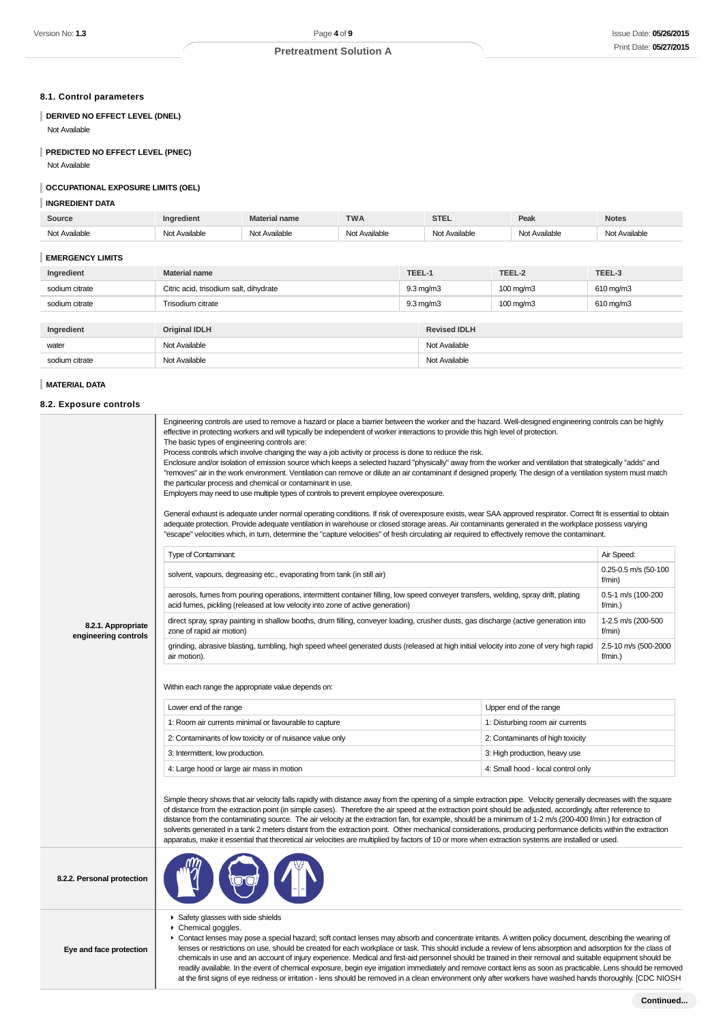# **8.1. Control parameters**

# **DERIVED NO EFFECT LEVEL (DNEL)**

Not Available

# **PREDICTED NO EFFECT LEVEL (PNEC)**

Not Available

#### **OCCUPATIONAL EXPOSURE LIMITS (OEL)**

## **INGREDIENT DATA**

| Source        | edient.          | <b>Material name</b> | <b>TWA</b>    | <b>STEL</b>             | Peak          | <b>Notes</b>  |
|---------------|------------------|----------------------|---------------|-------------------------|---------------|---------------|
| Not Available | Available<br>Not | Not Available        | Not Available | Available<br><b>Mat</b> | Not Available | Not Available |

#### **EMERGENCY LIMITS**

| Ingredient     | <b>Material name</b>                   |  | TEEL-1              | TEEL-2                | TEEL-3         |
|----------------|----------------------------------------|--|---------------------|-----------------------|----------------|
| sodium citrate | Citric acid, trisodium salt, dihydrate |  | $9.3 \text{ mg/m}$  | $100 \,\mathrm{mg/m}$ | $610$ mg/m $3$ |
| sodium citrate | Trisodium citrate                      |  | $9.3 \text{ mg/m}$  | 100 mg/m3             | 610 mg/m3      |
|                |                                        |  |                     |                       |                |
| Ingredient     | <b>Original IDLH</b>                   |  | <b>Revised IDLH</b> |                       |                |
| water          | Not Available                          |  | Not Available       |                       |                |
| sodium citrate | Not Available                          |  | Not Available       |                       |                |
|                |                                        |  |                     |                       |                |

#### **MATERIAL DATA**

### **8.2. Exposure controls**

|                                            | Engineering controls are used to remove a hazard or place a barrier between the worker and the hazard. Well-designed engineering controls can be highly<br>effective in protecting workers and will typically be independent of worker interactions to provide this high level of protection.<br>The basic types of engineering controls are:<br>Process controls which involve changing the way a job activity or process is done to reduce the risk.<br>Enclosure and/or isolation of emission source which keeps a selected hazard "physically" away from the worker and ventilation that strategically "adds" and<br>"removes" air in the work environment. Ventilation can remove or dilute an air contaminant if designed properly. The design of a ventilation system must match<br>the particular process and chemical or contaminant in use.<br>Employers may need to use multiple types of controls to prevent employee overexposure.<br>General exhaust is adequate under normal operating conditions. If risk of overexposure exists, wear SAA approved respirator. Correct fit is essential to obtain<br>adequate protection. Provide adequate ventilation in warehouse or closed storage areas. Air contaminants generated in the workplace possess varying<br>"escape" velocities which, in turn, determine the "capture velocities" of fresh circulating air required to effectively remove the contaminant. |                                    |                                 |
|--------------------------------------------|------------------------------------------------------------------------------------------------------------------------------------------------------------------------------------------------------------------------------------------------------------------------------------------------------------------------------------------------------------------------------------------------------------------------------------------------------------------------------------------------------------------------------------------------------------------------------------------------------------------------------------------------------------------------------------------------------------------------------------------------------------------------------------------------------------------------------------------------------------------------------------------------------------------------------------------------------------------------------------------------------------------------------------------------------------------------------------------------------------------------------------------------------------------------------------------------------------------------------------------------------------------------------------------------------------------------------------------------------------------------------------------------------------------------------|------------------------------------|---------------------------------|
|                                            | Type of Contaminant:                                                                                                                                                                                                                                                                                                                                                                                                                                                                                                                                                                                                                                                                                                                                                                                                                                                                                                                                                                                                                                                                                                                                                                                                                                                                                                                                                                                                         |                                    | Air Speed:                      |
|                                            | solvent, vapours, degreasing etc., evaporating from tank (in still air)                                                                                                                                                                                                                                                                                                                                                                                                                                                                                                                                                                                                                                                                                                                                                                                                                                                                                                                                                                                                                                                                                                                                                                                                                                                                                                                                                      |                                    | 0.25-0.5 m/s (50-100<br>f/min)  |
|                                            | aerosols, fumes from pouring operations, intermittent container filling, low speed conveyer transfers, welding, spray drift, plating<br>acid fumes, pickling (released at low velocity into zone of active generation)                                                                                                                                                                                                                                                                                                                                                                                                                                                                                                                                                                                                                                                                                                                                                                                                                                                                                                                                                                                                                                                                                                                                                                                                       |                                    | 0.5-1 m/s (100-200<br>f/min.    |
| 8.2.1. Appropriate<br>engineering controls | direct spray, spray painting in shallow booths, drum filling, conveyer loading, crusher dusts, gas discharge (active generation into<br>zone of rapid air motion)                                                                                                                                                                                                                                                                                                                                                                                                                                                                                                                                                                                                                                                                                                                                                                                                                                                                                                                                                                                                                                                                                                                                                                                                                                                            |                                    |                                 |
|                                            | grinding, abrasive blasting, tumbling, high speed wheel generated dusts (released at high initial velocity into zone of very high rapid<br>air motion).                                                                                                                                                                                                                                                                                                                                                                                                                                                                                                                                                                                                                                                                                                                                                                                                                                                                                                                                                                                                                                                                                                                                                                                                                                                                      |                                    | 2.5-10 m/s (500-2000<br>f/min.) |
|                                            | Within each range the appropriate value depends on:<br>Lower end of the range                                                                                                                                                                                                                                                                                                                                                                                                                                                                                                                                                                                                                                                                                                                                                                                                                                                                                                                                                                                                                                                                                                                                                                                                                                                                                                                                                | Upper end of the range             |                                 |
|                                            | 1: Room air currents minimal or favourable to capture                                                                                                                                                                                                                                                                                                                                                                                                                                                                                                                                                                                                                                                                                                                                                                                                                                                                                                                                                                                                                                                                                                                                                                                                                                                                                                                                                                        | 1: Disturbing room air currents    |                                 |
|                                            | 2: Contaminants of low toxicity or of nuisance value only                                                                                                                                                                                                                                                                                                                                                                                                                                                                                                                                                                                                                                                                                                                                                                                                                                                                                                                                                                                                                                                                                                                                                                                                                                                                                                                                                                    | 2: Contaminants of high toxicity   |                                 |
|                                            | 3: Intermittent, low production.                                                                                                                                                                                                                                                                                                                                                                                                                                                                                                                                                                                                                                                                                                                                                                                                                                                                                                                                                                                                                                                                                                                                                                                                                                                                                                                                                                                             | 3: High production, heavy use      |                                 |
|                                            | 4: Large hood or large air mass in motion                                                                                                                                                                                                                                                                                                                                                                                                                                                                                                                                                                                                                                                                                                                                                                                                                                                                                                                                                                                                                                                                                                                                                                                                                                                                                                                                                                                    | 4: Small hood - local control only |                                 |
|                                            | Simple theory shows that air velocity falls rapidly with distance away from the opening of a simple extraction pipe. Velocity generally decreases with the square<br>of distance from the extraction point (in simple cases). Therefore the air speed at the extraction point should be adjusted, accordingly, after reference to<br>distance from the contaminating source. The air velocity at the extraction fan, for example, should be a minimum of 1-2 m/s (200-400 f/min.) for extraction of<br>solvents generated in a tank 2 meters distant from the extraction point. Other mechanical considerations, producing performance deficits within the extraction<br>apparatus, make it essential that theoretical air velocities are multiplied by factors of 10 or more when extraction systems are installed or used.                                                                                                                                                                                                                                                                                                                                                                                                                                                                                                                                                                                                 |                                    |                                 |
| 8.2.2. Personal protection                 |                                                                                                                                                                                                                                                                                                                                                                                                                                                                                                                                                                                                                                                                                                                                                                                                                                                                                                                                                                                                                                                                                                                                                                                                                                                                                                                                                                                                                              |                                    |                                 |
| Eye and face protection                    | Safety glasses with side shields<br>Chemical goggles.<br>► Contact lenses may pose a special hazard; soft contact lenses may absorb and concentrate irritants. A written policy document, describing the wearing of<br>lenses or restrictions on use, should be created for each workplace or task. This should include a review of lens absorption and adsorption for the class of                                                                                                                                                                                                                                                                                                                                                                                                                                                                                                                                                                                                                                                                                                                                                                                                                                                                                                                                                                                                                                          |                                    |                                 |

chemicals in use and an account of injury experience. Medical and first-aid personnel should be trained in their removal and suitable equipment should be readily available. In the event of chemical exposure, begin eye irrigation immediately and remove contact lens as soon as practicable. Lens should be removed at the first signs of eye redness or irritation - lens should be removed in a clean environment only after workers have washed hands thoroughly. [CDC NIOSH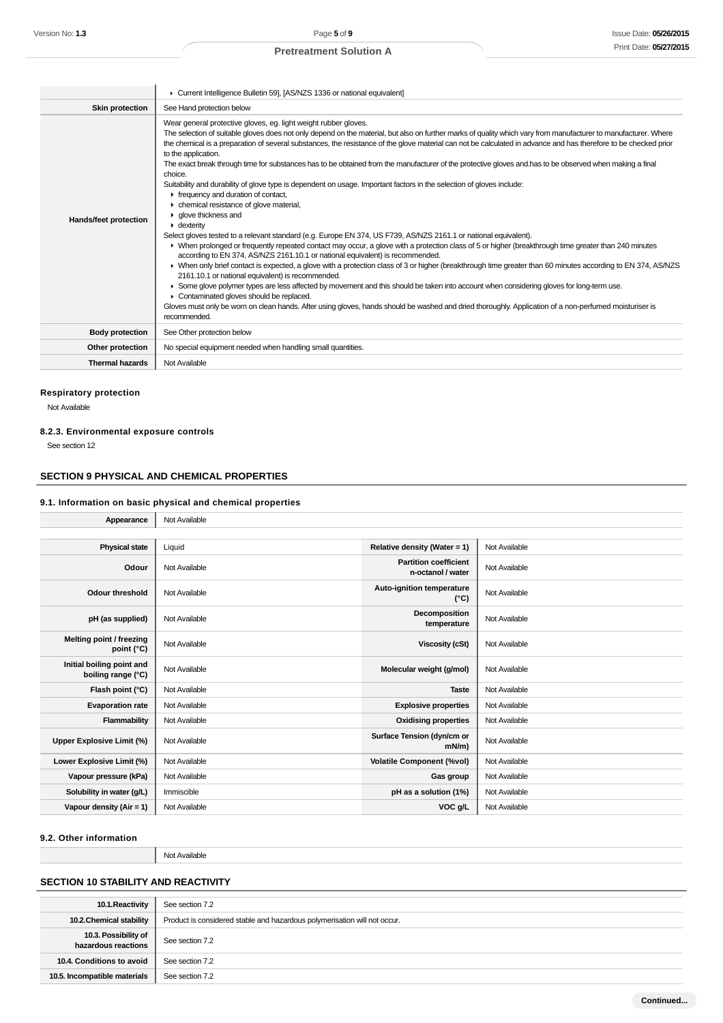|                        | Current Intelligence Bulletin 59], [AS/NZS 1336 or national equivalent]                                                                                                                                                                                                                                                                                                                                                                                                                                                                                                                                                                                                                                                                                                                                                                                                                                                                                                                                                                                                                                                                                                                                                                                                                                                                                                                                                                                                                                                                                                                                                                                                                                                                                                                                             |
|------------------------|---------------------------------------------------------------------------------------------------------------------------------------------------------------------------------------------------------------------------------------------------------------------------------------------------------------------------------------------------------------------------------------------------------------------------------------------------------------------------------------------------------------------------------------------------------------------------------------------------------------------------------------------------------------------------------------------------------------------------------------------------------------------------------------------------------------------------------------------------------------------------------------------------------------------------------------------------------------------------------------------------------------------------------------------------------------------------------------------------------------------------------------------------------------------------------------------------------------------------------------------------------------------------------------------------------------------------------------------------------------------------------------------------------------------------------------------------------------------------------------------------------------------------------------------------------------------------------------------------------------------------------------------------------------------------------------------------------------------------------------------------------------------------------------------------------------------|
| <b>Skin protection</b> | See Hand protection below                                                                                                                                                                                                                                                                                                                                                                                                                                                                                                                                                                                                                                                                                                                                                                                                                                                                                                                                                                                                                                                                                                                                                                                                                                                                                                                                                                                                                                                                                                                                                                                                                                                                                                                                                                                           |
| Hands/feet protection  | Wear general protective gloves, eg. light weight rubber gloves.<br>The selection of suitable gloves does not only depend on the material, but also on further marks of quality which vary from manufacturer to manufacturer. Where<br>the chemical is a preparation of several substances, the resistance of the glove material can not be calculated in advance and has therefore to be checked prior<br>to the application.<br>The exact break through time for substances has to be obtained from the manufacturer of the protective gloves and has to be observed when making a final<br>choice.<br>Suitability and durability of glove type is dependent on usage. Important factors in the selection of gloves include:<br>requency and duration of contact,<br>• chemical resistance of glove material,<br>• glove thickness and<br>$\bullet$ dexterity<br>Select gloves tested to a relevant standard (e.g. Europe EN 374, US F739, AS/NZS 2161.1 or national equivalent).<br>▶ When prolonged or frequently repeated contact may occur, a glove with a protection class of 5 or higher (breakthrough time greater than 240 minutes<br>according to EN 374, AS/NZS 2161.10.1 or national equivalent) is recommended.<br>▶ When only brief contact is expected, a glove with a protection class of 3 or higher (breakthrough time greater than 60 minutes according to EN 374, AS/NZS<br>2161.10.1 or national equivalent) is recommended.<br>► Some glove polymer types are less affected by movement and this should be taken into account when considering gloves for long-term use.<br>Contaminated gloves should be replaced.<br>Gloves must only be worn on clean hands. After using gloves, hands should be washed and dried thoroughly. Application of a non-perfumed moisturiser is<br>recommended. |
| <b>Body protection</b> | See Other protection below                                                                                                                                                                                                                                                                                                                                                                                                                                                                                                                                                                                                                                                                                                                                                                                                                                                                                                                                                                                                                                                                                                                                                                                                                                                                                                                                                                                                                                                                                                                                                                                                                                                                                                                                                                                          |
| Other protection       | No special equipment needed when handling small quantities.                                                                                                                                                                                                                                                                                                                                                                                                                                                                                                                                                                                                                                                                                                                                                                                                                                                                                                                                                                                                                                                                                                                                                                                                                                                                                                                                                                                                                                                                                                                                                                                                                                                                                                                                                         |
| <b>Thermal hazards</b> | Not Available                                                                                                                                                                                                                                                                                                                                                                                                                                                                                                                                                                                                                                                                                                                                                                                                                                                                                                                                                                                                                                                                                                                                                                                                                                                                                                                                                                                                                                                                                                                                                                                                                                                                                                                                                                                                       |

# **Respiratory protection**

Not Available

# **8.2.3. Environmental exposure controls**

See section 12

# **SECTION 9 PHYSICAL AND CHEMICAL PROPERTIES**

# **9.1. Information on basic physical and chemical properties**

| Appearance                                      | Not Available |                                                   |               |
|-------------------------------------------------|---------------|---------------------------------------------------|---------------|
|                                                 |               |                                                   |               |
| <b>Physical state</b>                           | Liquid        | Relative density (Water = 1)                      | Not Available |
| Odour                                           | Not Available | <b>Partition coefficient</b><br>n-octanol / water | Not Available |
| <b>Odour threshold</b>                          | Not Available | Auto-ignition temperature<br>$(^{\circ}C)$        | Not Available |
| pH (as supplied)                                | Not Available | Decomposition<br>temperature                      | Not Available |
| Melting point / freezing<br>point (°C)          | Not Available | <b>Viscosity (cSt)</b>                            | Not Available |
| Initial boiling point and<br>boiling range (°C) | Not Available | Molecular weight (g/mol)                          | Not Available |
| Flash point (°C)                                | Not Available | <b>Taste</b>                                      | Not Available |
| <b>Evaporation rate</b>                         | Not Available | <b>Explosive properties</b>                       | Not Available |
| Flammability                                    | Not Available | <b>Oxidising properties</b>                       | Not Available |
| Upper Explosive Limit (%)                       | Not Available | Surface Tension (dyn/cm or<br>$mN/m$ )            | Not Available |
| Lower Explosive Limit (%)                       | Not Available | <b>Volatile Component (%vol)</b>                  | Not Available |
| Vapour pressure (kPa)                           | Not Available | Gas group                                         | Not Available |
| Solubility in water (g/L)                       | Immiscible    | pH as a solution (1%)                             | Not Available |
| Vapour density (Air = 1)                        | Not Available | VOC g/L                                           | Not Available |

#### **9.2. Other information**

Not Available

# **SECTION 10 STABILITY AND REACTIVITY**

| 10.1. Reactivity                            | See section 7.2                                                           |
|---------------------------------------------|---------------------------------------------------------------------------|
| 10.2. Chemical stability                    | Product is considered stable and hazardous polymerisation will not occur. |
| 10.3. Possibility of<br>hazardous reactions | See section 7.2                                                           |
| 10.4. Conditions to avoid                   | See section 7.2                                                           |
| 10.5. Incompatible materials                | See section 7.2                                                           |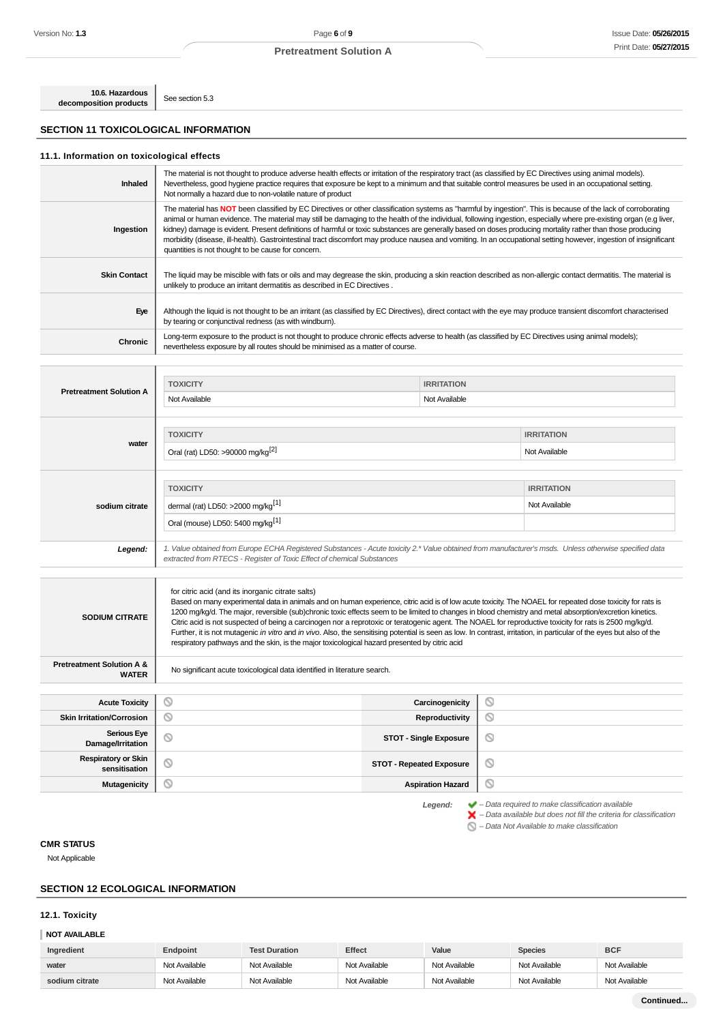**10.6. Hazardous decomposition products** See section 5.3

# **SECTION 11 TOXICOLOGICAL INFORMATION**

٦

#### **11.1. Information on toxicological effects**

| Inhaled             | The material is not thought to produce adverse health effects or irritation of the respiratory tract (as classified by EC Directives using animal models).<br>Nevertheless, good hygiene practice requires that exposure be kept to a minimum and that suitable control measures be used in an occupational setting.<br>Not normally a hazard due to non-volatile nature of product                                                                                                                                                                                                                                                                                                                                           |
|---------------------|-------------------------------------------------------------------------------------------------------------------------------------------------------------------------------------------------------------------------------------------------------------------------------------------------------------------------------------------------------------------------------------------------------------------------------------------------------------------------------------------------------------------------------------------------------------------------------------------------------------------------------------------------------------------------------------------------------------------------------|
| Ingestion           | The material has NOT been classified by EC Directives or other classification systems as "harmful by ingestion". This is because of the lack of corroborating<br>animal or human evidence. The material may still be damaging to the health of the individual, following ingestion, especially where pre-existing organ (e.g liver,<br>kidney) damage is evident. Present definitions of harmful or toxic substances are generally based on doses producing mortality rather than those producing<br>morbidity (disease, ill-health). Gastrointestinal tract discomfort may produce nausea and vomiting. In an occupational setting however, ingestion of insignificant<br>quantities is not thought to be cause for concern. |
| <b>Skin Contact</b> | The liquid may be miscible with fats or oils and may degrease the skin, producing a skin reaction described as non-allergic contact dermatitis. The material is<br>unlikely to produce an irritant dermatitis as described in EC Directives.                                                                                                                                                                                                                                                                                                                                                                                                                                                                                  |
| Eye                 | Although the liquid is not thought to be an irritant (as classified by EC Directives), direct contact with the eye may produce transient discomfort characterised<br>by tearing or conjunctival redness (as with windburn).                                                                                                                                                                                                                                                                                                                                                                                                                                                                                                   |
| Chronic             | Long-term exposure to the product is not thought to produce chronic effects adverse to health (as classified by EC Directives using animal models);<br>nevertheless exposure by all routes should be minimised as a matter of course.                                                                                                                                                                                                                                                                                                                                                                                                                                                                                         |

|                                | <b>TOXICITY</b>                                                                                                                                                                                                                  | <b>IRRITATION</b> |                                    |  |
|--------------------------------|----------------------------------------------------------------------------------------------------------------------------------------------------------------------------------------------------------------------------------|-------------------|------------------------------------|--|
| <b>Pretreatment Solution A</b> | Not Available<br>Not Available                                                                                                                                                                                                   |                   |                                    |  |
| water                          | <b>TOXICITY</b><br>Oral (rat) LD50: >90000 mg/kg <sup>[2]</sup>                                                                                                                                                                  |                   | <b>IRRITATION</b><br>Not Available |  |
|                                |                                                                                                                                                                                                                                  |                   |                                    |  |
|                                | <b>TOXICITY</b>                                                                                                                                                                                                                  |                   | <b>IRRITATION</b>                  |  |
| sodium citrate                 | dermal (rat) LD50: >2000 mg/kg <sup>[1]</sup>                                                                                                                                                                                    |                   | Not Available                      |  |
|                                | Oral (mouse) LD50: 5400 mg/kg <sup>[1]</sup>                                                                                                                                                                                     |                   |                                    |  |
| Legend:                        | 1. Value obtained from Europe ECHA Registered Substances - Acute toxicity 2.* Value obtained from manufacturer's msds. Unless otherwise specified data<br>extracted from RTECS - Register of Toxic Effect of chemical Substances |                   |                                    |  |

| <b>SODIUM CITRATE</b>                                | for citric acid (and its inorganic citrate salts)<br>Based on many experimental data in animals and on human experience, citric acid is of low acute toxicity. The NOAEL for repeated dose toxicity for rats is<br>1200 mq/kq/d. The major, reversible (sub)chronic toxic effects seem to be limited to changes in blood chemistry and metal absorption/excretion kinetics.<br>Citric acid is not suspected of being a carcinogen nor a reprotoxic or teratogenic agent. The NOAEL for reproductive toxicity for rats is 2500 mg/kg/d.<br>Further, it is not mutagenic in vitro and in vivo. Also, the sensitising potential is seen as low. In contrast, irritation, in particular of the eyes but also of the<br>respiratory pathways and the skin, is the major toxicological hazard presented by citric acid |                                 |   |
|------------------------------------------------------|------------------------------------------------------------------------------------------------------------------------------------------------------------------------------------------------------------------------------------------------------------------------------------------------------------------------------------------------------------------------------------------------------------------------------------------------------------------------------------------------------------------------------------------------------------------------------------------------------------------------------------------------------------------------------------------------------------------------------------------------------------------------------------------------------------------|---------------------------------|---|
| <b>Pretreatment Solution A &amp;</b><br><b>WATER</b> | No significant acute toxicological data identified in literature search.                                                                                                                                                                                                                                                                                                                                                                                                                                                                                                                                                                                                                                                                                                                                         |                                 |   |
|                                                      |                                                                                                                                                                                                                                                                                                                                                                                                                                                                                                                                                                                                                                                                                                                                                                                                                  |                                 |   |
| <b>Acute Toxicity</b>                                | O                                                                                                                                                                                                                                                                                                                                                                                                                                                                                                                                                                                                                                                                                                                                                                                                                | Carcinogenicity                 | Ø |
| <b>Skin Irritation/Corrosion</b>                     | Ø                                                                                                                                                                                                                                                                                                                                                                                                                                                                                                                                                                                                                                                                                                                                                                                                                | Reproductivity                  | O |
| <b>Serious Eye</b><br>Damage/Irritation              | $\circ$                                                                                                                                                                                                                                                                                                                                                                                                                                                                                                                                                                                                                                                                                                                                                                                                          | <b>STOT - Single Exposure</b>   | O |
| <b>Respiratory or Skin</b><br>sensitisation          | $\circ$                                                                                                                                                                                                                                                                                                                                                                                                                                                                                                                                                                                                                                                                                                                                                                                                          | <b>STOT - Repeated Exposure</b> | O |
| Mutagenicity                                         | ര                                                                                                                                                                                                                                                                                                                                                                                                                                                                                                                                                                                                                                                                                                                                                                                                                | <b>Aspiration Hazard</b>        | Q |

**Legend:**  $\blacktriangleright$  - Data required to make classification available<br>  $\blacktriangleright$  - Data available but does not fill the criteria for classification

 $\bigcirc$  – Data Not Available to make classification

# **CMR STATUS**

Not Applicable

# **SECTION 12 ECOLOGICAL INFORMATION**

### **12.1. Toxicity**

#### **NOT AVAILABLE**

| Ingredient     | Endpoint      | <b>Test Duration</b> | <b>Effect</b> | Value         | <b>Species</b> | <b>BCF</b>    |
|----------------|---------------|----------------------|---------------|---------------|----------------|---------------|
| water          | Not Available | Not Available        | Not Available | Not Available | Not Available  | Not Available |
| sodium citrate | Not Available | Not Available        | Not Available | Not Available | Not Available  | Not Available |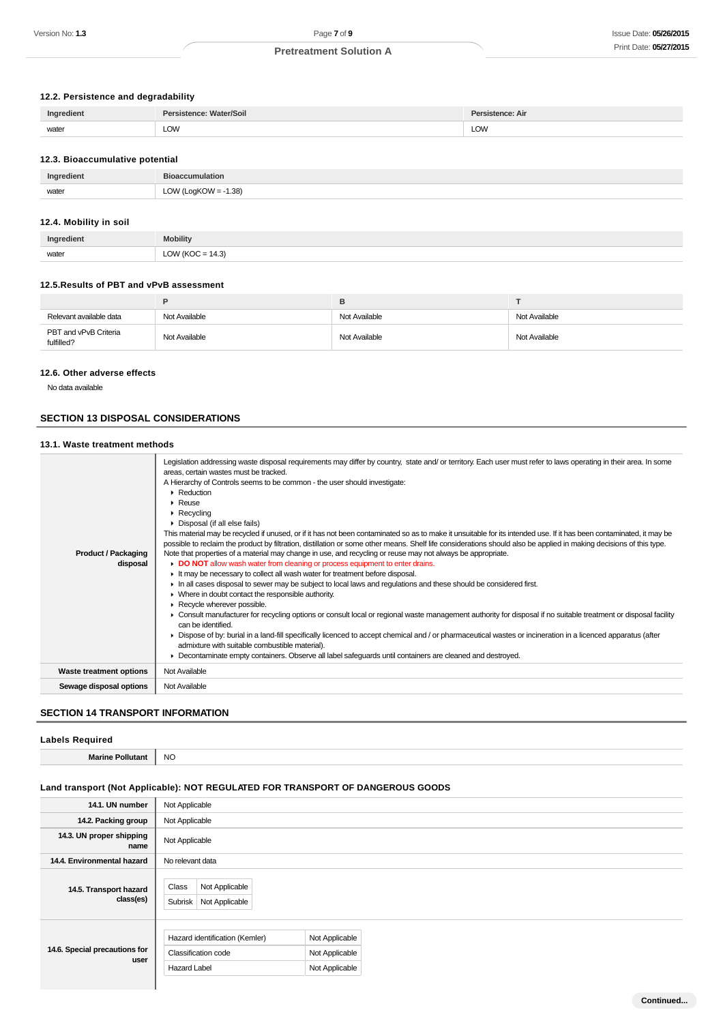# **12.2. Persistence and degradability**

| Ingredient | Persistence: Water/Soil | Persistence: Air |
|------------|-------------------------|------------------|
| water      | LOW<br>$\sim$ $\sim$    | LOW              |
|            |                         |                  |

#### **12.3. Bioaccumulative potential**

| Ingredient | L <sub>1</sub>                           |
|------------|------------------------------------------|
| water      | $-1.38$<br>$OMI$ $O$ $O$<br>--<br>$\sim$ |

# **12.4. Mobility in soil**

| Ingredient | <b>Mobility</b>      |
|------------|----------------------|
| water      | LOW ( $KOC = 14.3$ ) |

### **12.5.Results of PBT and vPvB assessment**

| Relevant available data             | Not Available | Not Available | Not Available |
|-------------------------------------|---------------|---------------|---------------|
| PBT and vPvB Criteria<br>fulfilled? | Not Available | Not Available | Not Available |

## **12.6. Other adverse effects**

No data available

# **SECTION 13 DISPOSAL CONSIDERATIONS**

# **13.1. Waste treatment methods**

| $\blacktriangleright$ Reduction<br>Reuse<br>$\triangleright$ Recycling<br>• Disposal (if all else fails)                                                                                                                                                                                                                                    |
|---------------------------------------------------------------------------------------------------------------------------------------------------------------------------------------------------------------------------------------------------------------------------------------------------------------------------------------------|
|                                                                                                                                                                                                                                                                                                                                             |
|                                                                                                                                                                                                                                                                                                                                             |
|                                                                                                                                                                                                                                                                                                                                             |
| This material may be recycled if unused, or if it has not been contaminated so as to make it unsuitable for its intended use. If it has been contaminated, it may be<br>possible to reclaim the product by filtration, distillation or some other means. Shelf life considerations should also be applied in making decisions of this type. |
| Note that properties of a material may change in use, and recycling or reuse may not always be appropriate.<br><b>Product / Packaging</b>                                                                                                                                                                                                   |
| DO NOT allow wash water from cleaning or process equipment to enter drains.<br>disposal                                                                                                                                                                                                                                                     |
| It may be necessary to collect all wash water for treatment before disposal.                                                                                                                                                                                                                                                                |
| In all cases disposal to sewer may be subject to local laws and regulations and these should be considered first.                                                                                                                                                                                                                           |
| • Where in doubt contact the responsible authority.                                                                                                                                                                                                                                                                                         |
| Recycle wherever possible.                                                                                                                                                                                                                                                                                                                  |
| ▶ Consult manufacturer for recycling options or consult local or regional waste management authority for disposal if no suitable treatment or disposal facility<br>can be identified.                                                                                                                                                       |
| • Dispose of by: burial in a land-fill specifically licenced to accept chemical and / or pharmaceutical wastes or incineration in a licenced apparatus (after                                                                                                                                                                               |
| admixture with suitable combustible material).                                                                                                                                                                                                                                                                                              |
| Decontaminate empty containers. Observe all label safeguards until containers are cleaned and destroyed.                                                                                                                                                                                                                                    |
| Not Available<br><b>Waste treatment options</b>                                                                                                                                                                                                                                                                                             |
| Not Available<br>Sewage disposal options                                                                                                                                                                                                                                                                                                    |

# **SECTION 14 TRANSPORT INFORMATION**

- 1

### **Labels Required**

**Marine Pollutant** NO

# **Land transport (Not Applicable): NOT REGULATED FOR TRANSPORT OF DANGEROUS GOODS**

| 14.1. UN number                       | Not Applicable                                                               |                                                    |  |  |
|---------------------------------------|------------------------------------------------------------------------------|----------------------------------------------------|--|--|
| 14.2. Packing group                   | Not Applicable                                                               |                                                    |  |  |
| 14.3. UN proper shipping<br>name      | Not Applicable                                                               |                                                    |  |  |
| 14.4. Environmental hazard            | No relevant data                                                             |                                                    |  |  |
| 14.5. Transport hazard<br>class(es)   | Class<br>Not Applicable<br>Subrisk<br>Not Applicable                         |                                                    |  |  |
| 14.6. Special precautions for<br>user | Hazard identification (Kemler)<br>Classification code<br><b>Hazard Label</b> | Not Applicable<br>Not Applicable<br>Not Applicable |  |  |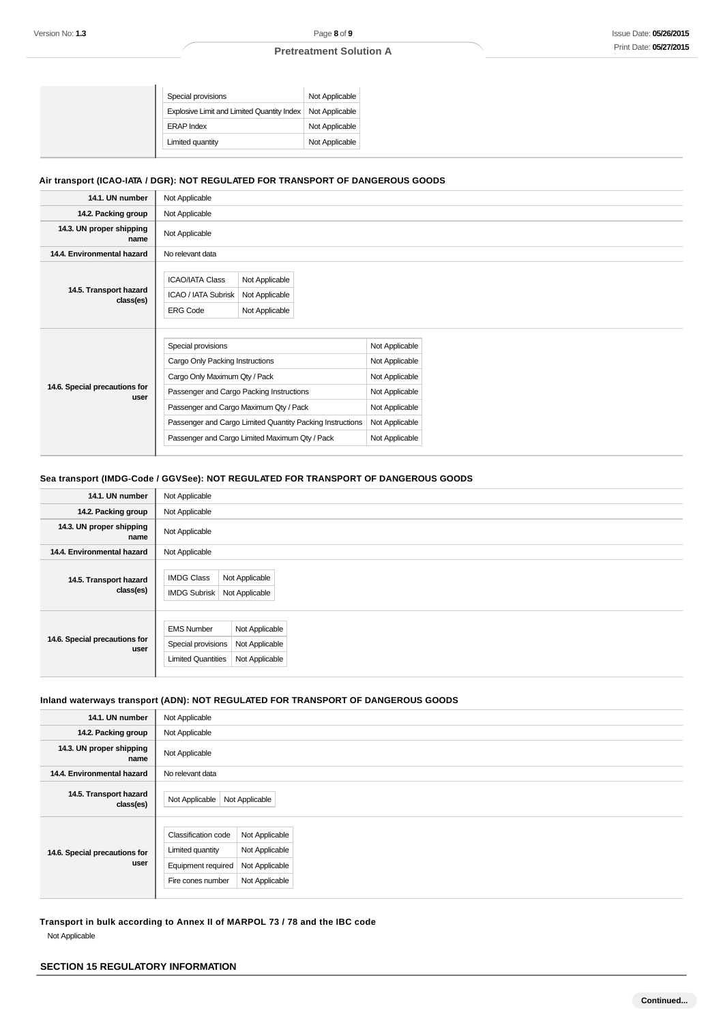| Special provisions                         | Not Applicable |
|--------------------------------------------|----------------|
| Explosive Limit and Limited Quantity Index | Not Applicable |
| <b>ERAP Index</b>                          | Not Applicable |
| Limited quantity                           | Not Applicable |
|                                            |                |

# **Air transport (ICAO-IATA / DGR): NOT REGULATED FOR TRANSPORT OF DANGEROUS GOODS**

| 14.1. UN number                       | Not Applicable                                                                                                                                                                                                                                                                              |                                                    |                                                                                                                            |  |
|---------------------------------------|---------------------------------------------------------------------------------------------------------------------------------------------------------------------------------------------------------------------------------------------------------------------------------------------|----------------------------------------------------|----------------------------------------------------------------------------------------------------------------------------|--|
|                                       |                                                                                                                                                                                                                                                                                             |                                                    |                                                                                                                            |  |
| 14.2. Packing group                   | Not Applicable                                                                                                                                                                                                                                                                              |                                                    |                                                                                                                            |  |
| 14.3. UN proper shipping<br>name      | Not Applicable                                                                                                                                                                                                                                                                              |                                                    |                                                                                                                            |  |
| 14.4. Environmental hazard            | No relevant data                                                                                                                                                                                                                                                                            |                                                    |                                                                                                                            |  |
| 14.5. Transport hazard<br>class(es)   | <b>ICAO/IATA Class</b><br>ICAO / IATA Subrisk<br><b>ERG Code</b>                                                                                                                                                                                                                            | Not Applicable<br>Not Applicable<br>Not Applicable |                                                                                                                            |  |
| 14.6. Special precautions for<br>user | Special provisions<br>Cargo Only Packing Instructions<br>Cargo Only Maximum Qty / Pack<br>Passenger and Cargo Packing Instructions<br>Passenger and Cargo Maximum Qty / Pack<br>Passenger and Cargo Limited Quantity Packing Instructions<br>Passenger and Cargo Limited Maximum Qty / Pack |                                                    | Not Applicable<br>Not Applicable<br>Not Applicable<br>Not Applicable<br>Not Applicable<br>Not Applicable<br>Not Applicable |  |

# **Sea transport (IMDG-Code / GGVSee): NOT REGULATED FOR TRANSPORT OF DANGEROUS GOODS**

| 14.1. UN number                       | Not Applicable                                                                                                             |  |  |
|---------------------------------------|----------------------------------------------------------------------------------------------------------------------------|--|--|
| 14.2. Packing group                   | Not Applicable                                                                                                             |  |  |
| 14.3. UN proper shipping<br>name      | Not Applicable                                                                                                             |  |  |
| 14.4. Environmental hazard            | Not Applicable                                                                                                             |  |  |
| 14.5. Transport hazard<br>class(es)   | Not Applicable<br><b>IMDG Class</b><br><b>IMDG Subrisk</b><br>Not Applicable                                               |  |  |
| 14.6. Special precautions for<br>user | <b>EMS Number</b><br>Not Applicable<br>Not Applicable<br>Special provisions<br>Not Applicable<br><b>Limited Quantities</b> |  |  |

# **Inland waterways transport (ADN): NOT REGULATED FOR TRANSPORT OF DANGEROUS GOODS**

| 14.1. UN number                       | Not Applicable                                                                            |                                                                      |  |  |
|---------------------------------------|-------------------------------------------------------------------------------------------|----------------------------------------------------------------------|--|--|
| 14.2. Packing group                   | Not Applicable                                                                            |                                                                      |  |  |
| 14.3. UN proper shipping<br>name      | Not Applicable                                                                            |                                                                      |  |  |
| 14.4. Environmental hazard            | No relevant data                                                                          |                                                                      |  |  |
| 14.5. Transport hazard<br>class(es)   | Not Applicable                                                                            | Not Applicable                                                       |  |  |
| 14.6. Special precautions for<br>user | <b>Classification code</b><br>Limited quantity<br>Equipment required<br>Fire cones number | Not Applicable<br>Not Applicable<br>Not Applicable<br>Not Applicable |  |  |

**Transport in bulk according to Annex II of MARPOL 73 / 78 and the IBC code** Not Applicable